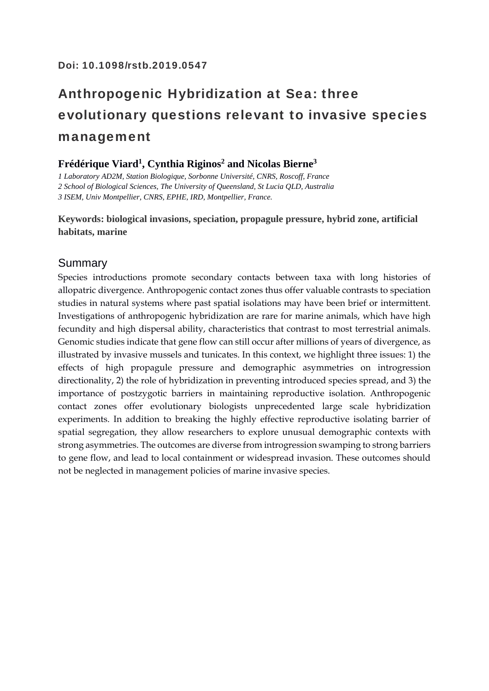# Anthropogenic Hybridization at Sea: three evolutionary questions relevant to invasive species management

# **Frédérique Viard<sup>1</sup> , Cynthia Riginos2 and Nicolas Bierne3**

*1 Laboratory AD2M, Station Biologique, Sorbonne Université, CNRS, Roscoff, France 2 School of Biological Sciences, The University of Queensland, St Lucia QLD, Australia 3 ISEM, Univ Montpellier, CNRS, EPHE, IRD, Montpellier, France.* 

**Keywords: biological invasions, speciation, propagule pressure, hybrid zone, artificial habitats, marine** 

# Summary

Species introductions promote secondary contacts between taxa with long histories of allopatric divergence. Anthropogenic contact zones thus offer valuable contrasts to speciation studies in natural systems where past spatial isolations may have been brief or intermittent. Investigations of anthropogenic hybridization are rare for marine animals, which have high fecundity and high dispersal ability, characteristics that contrast to most terrestrial animals. Genomic studies indicate that gene flow can still occur after millions of years of divergence, as illustrated by invasive mussels and tunicates. In this context, we highlight three issues: 1) the effects of high propagule pressure and demographic asymmetries on introgression directionality, 2) the role of hybridization in preventing introduced species spread, and 3) the importance of postzygotic barriers in maintaining reproductive isolation. Anthropogenic contact zones offer evolutionary biologists unprecedented large scale hybridization experiments. In addition to breaking the highly effective reproductive isolating barrier of spatial segregation, they allow researchers to explore unusual demographic contexts with strong asymmetries. The outcomes are diverse from introgression swamping to strong barriers to gene flow, and lead to local containment or widespread invasion. These outcomes should not be neglected in management policies of marine invasive species.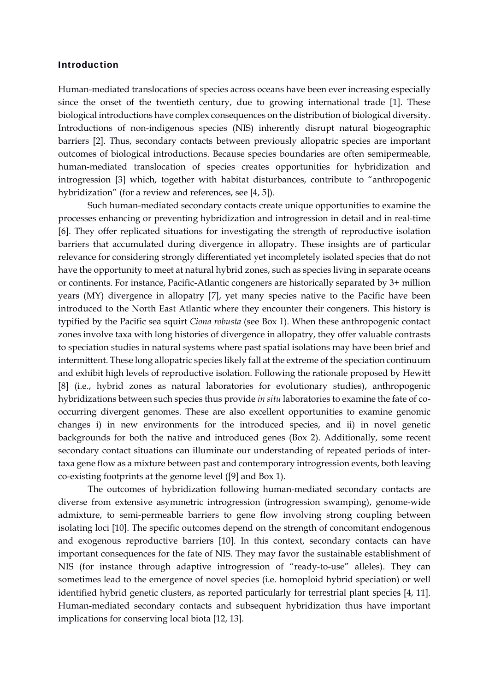#### **Introduction**

Human-mediated translocations of species across oceans have been ever increasing especially since the onset of the twentieth century, due to growing international trade [1]. These biological introductions have complex consequences on the distribution of biological diversity. Introductions of non-indigenous species (NIS) inherently disrupt natural biogeographic barriers [2]. Thus, secondary contacts between previously allopatric species are important outcomes of biological introductions. Because species boundaries are often semipermeable, human-mediated translocation of species creates opportunities for hybridization and introgression [3] which, together with habitat disturbances, contribute to "anthropogenic hybridization" (for a review and references, see [4, 5]).

Such human-mediated secondary contacts create unique opportunities to examine the processes enhancing or preventing hybridization and introgression in detail and in real-time [6]. They offer replicated situations for investigating the strength of reproductive isolation barriers that accumulated during divergence in allopatry. These insights are of particular relevance for considering strongly differentiated yet incompletely isolated species that do not have the opportunity to meet at natural hybrid zones, such as species living in separate oceans or continents. For instance, Pacific-Atlantic congeners are historically separated by 3+ million years (MY) divergence in allopatry [7], yet many species native to the Pacific have been introduced to the North East Atlantic where they encounter their congeners. This history is typified by the Pacific sea squirt *Ciona robusta* (see Box 1). When these anthropogenic contact zones involve taxa with long histories of divergence in allopatry, they offer valuable contrasts to speciation studies in natural systems where past spatial isolations may have been brief and intermittent. These long allopatric species likely fall at the extreme of the speciation continuum and exhibit high levels of reproductive isolation. Following the rationale proposed by Hewitt [8] (i.e., hybrid zones as natural laboratories for evolutionary studies), anthropogenic hybridizations between such species thus provide *in situ* laboratories to examine the fate of cooccurring divergent genomes. These are also excellent opportunities to examine genomic changes i) in new environments for the introduced species, and ii) in novel genetic backgrounds for both the native and introduced genes (Box 2). Additionally, some recent secondary contact situations can illuminate our understanding of repeated periods of intertaxa gene flow as a mixture between past and contemporary introgression events, both leaving co-existing footprints at the genome level ([9] and Box 1).

The outcomes of hybridization following human-mediated secondary contacts are diverse from extensive asymmetric introgression (introgression swamping), genome-wide admixture, to semi-permeable barriers to gene flow involving strong coupling between isolating loci [10]. The specific outcomes depend on the strength of concomitant endogenous and exogenous reproductive barriers [10]. In this context, secondary contacts can have important consequences for the fate of NIS. They may favor the sustainable establishment of NIS (for instance through adaptive introgression of "ready-to-use" alleles). They can sometimes lead to the emergence of novel species (i.e. homoploid hybrid speciation) or well identified hybrid genetic clusters, as reported particularly for terrestrial plant species [4, 11]. Human-mediated secondary contacts and subsequent hybridization thus have important implications for conserving local biota [12, 13].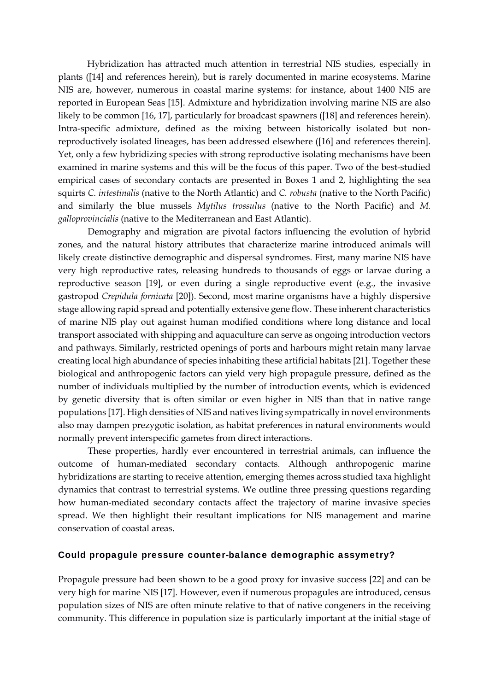Hybridization has attracted much attention in terrestrial NIS studies, especially in plants ([14] and references herein), but is rarely documented in marine ecosystems. Marine NIS are, however, numerous in coastal marine systems: for instance, about 1400 NIS are reported in European Seas [15]. Admixture and hybridization involving marine NIS are also likely to be common [16, 17], particularly for broadcast spawners ([18] and references herein). Intra-specific admixture, defined as the mixing between historically isolated but nonreproductively isolated lineages, has been addressed elsewhere ([16] and references therein]. Yet, only a few hybridizing species with strong reproductive isolating mechanisms have been examined in marine systems and this will be the focus of this paper. Two of the best-studied empirical cases of secondary contacts are presented in Boxes 1 and 2, highlighting the sea squirts *C. intestinalis* (native to the North Atlantic) and *C. robusta* (native to the North Pacific) and similarly the blue mussels *Mytilus trossulus* (native to the North Pacific) and *M. galloprovincialis* (native to the Mediterranean and East Atlantic).

Demography and migration are pivotal factors influencing the evolution of hybrid zones, and the natural history attributes that characterize marine introduced animals will likely create distinctive demographic and dispersal syndromes. First, many marine NIS have very high reproductive rates, releasing hundreds to thousands of eggs or larvae during a reproductive season [19], or even during a single reproductive event (e.g., the invasive gastropod *Crepidula fornicata* [20]). Second, most marine organisms have a highly dispersive stage allowing rapid spread and potentially extensive gene flow. These inherent characteristics of marine NIS play out against human modified conditions where long distance and local transport associated with shipping and aquaculture can serve as ongoing introduction vectors and pathways. Similarly, restricted openings of ports and harbours might retain many larvae creating local high abundance of species inhabiting these artificial habitats [21]. Together these biological and anthropogenic factors can yield very high propagule pressure, defined as the number of individuals multiplied by the number of introduction events, which is evidenced by genetic diversity that is often similar or even higher in NIS than that in native range populations [17]. High densities of NIS and natives living sympatrically in novel environments also may dampen prezygotic isolation, as habitat preferences in natural environments would normally prevent interspecific gametes from direct interactions.

These properties, hardly ever encountered in terrestrial animals, can influence the outcome of human-mediated secondary contacts. Although anthropogenic marine hybridizations are starting to receive attention, emerging themes across studied taxa highlight dynamics that contrast to terrestrial systems. We outline three pressing questions regarding how human-mediated secondary contacts affect the trajectory of marine invasive species spread. We then highlight their resultant implications for NIS management and marine conservation of coastal areas.

#### Could propagule pressure counter-balance demographic assymetry?

Propagule pressure had been shown to be a good proxy for invasive success [22] and can be very high for marine NIS [17]. However, even if numerous propagules are introduced, census population sizes of NIS are often minute relative to that of native congeners in the receiving community. This difference in population size is particularly important at the initial stage of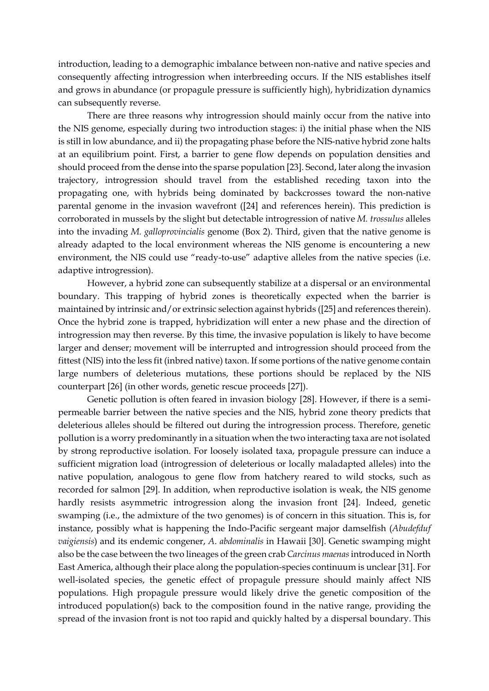introduction, leading to a demographic imbalance between non-native and native species and consequently affecting introgression when interbreeding occurs. If the NIS establishes itself and grows in abundance (or propagule pressure is sufficiently high), hybridization dynamics can subsequently reverse.

There are three reasons why introgression should mainly occur from the native into the NIS genome, especially during two introduction stages: i) the initial phase when the NIS is still in low abundance, and ii) the propagating phase before the NIS-native hybrid zone halts at an equilibrium point. First, a barrier to gene flow depends on population densities and should proceed from the dense into the sparse population [23]. Second, later along the invasion trajectory, introgression should travel from the established receding taxon into the propagating one, with hybrids being dominated by backcrosses toward the non-native parental genome in the invasion wavefront ([24] and references herein). This prediction is corroborated in mussels by the slight but detectable introgression of native *M. trossulus* alleles into the invading *M. galloprovincialis* genome (Box 2). Third, given that the native genome is already adapted to the local environment whereas the NIS genome is encountering a new environment, the NIS could use "ready-to-use" adaptive alleles from the native species (i.e. adaptive introgression).

However, a hybrid zone can subsequently stabilize at a dispersal or an environmental boundary. This trapping of hybrid zones is theoretically expected when the barrier is maintained by intrinsic and/or extrinsic selection against hybrids ([25] and references therein). Once the hybrid zone is trapped, hybridization will enter a new phase and the direction of introgression may then reverse. By this time, the invasive population is likely to have become larger and denser; movement will be interrupted and introgression should proceed from the fittest (NIS) into the less fit (inbred native) taxon. If some portions of the native genome contain large numbers of deleterious mutations, these portions should be replaced by the NIS counterpart [26] (in other words, genetic rescue proceeds [27]).

Genetic pollution is often feared in invasion biology [28]. However, if there is a semipermeable barrier between the native species and the NIS, hybrid zone theory predicts that deleterious alleles should be filtered out during the introgression process. Therefore, genetic pollution is a worry predominantly in a situation when the two interacting taxa are not isolated by strong reproductive isolation. For loosely isolated taxa, propagule pressure can induce a sufficient migration load (introgression of deleterious or locally maladapted alleles) into the native population, analogous to gene flow from hatchery reared to wild stocks, such as recorded for salmon [29]. In addition, when reproductive isolation is weak, the NIS genome hardly resists asymmetric introgression along the invasion front [24]. Indeed, genetic swamping (i.e., the admixture of the two genomes) is of concern in this situation. This is, for instance, possibly what is happening the Indo-Pacific sergeant major damselfish (*Abudefduf vaigiensis*) and its endemic congener, *A. abdominalis* in Hawaii [30]. Genetic swamping might also be the case between the two lineages of the green crab *Carcinus maenas* introduced in North East America, although their place along the population-species continuum is unclear [31]. For well-isolated species, the genetic effect of propagule pressure should mainly affect NIS populations. High propagule pressure would likely drive the genetic composition of the introduced population(s) back to the composition found in the native range, providing the spread of the invasion front is not too rapid and quickly halted by a dispersal boundary. This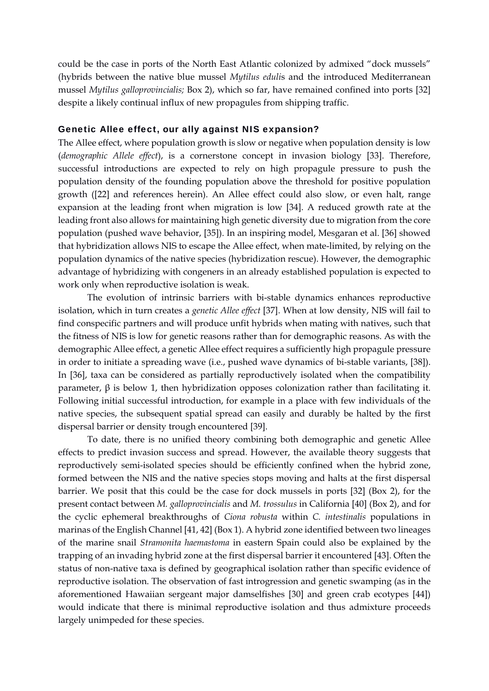could be the case in ports of the North East Atlantic colonized by admixed "dock mussels" (hybrids between the native blue mussel *Mytilus eduli*s and the introduced Mediterranean mussel *Mytilus galloprovincialis;* Box 2), which so far, have remained confined into ports [32] despite a likely continual influx of new propagules from shipping traffic.

#### Genetic Allee effect, our ally against NIS expansion?

The Allee effect, where population growth is slow or negative when population density is low (*demographic Allele effect*), is a cornerstone concept in invasion biology [33]. Therefore, successful introductions are expected to rely on high propagule pressure to push the population density of the founding population above the threshold for positive population growth ([22] and references herein). An Allee effect could also slow, or even halt, range expansion at the leading front when migration is low [34]. A reduced growth rate at the leading front also allows for maintaining high genetic diversity due to migration from the core population (pushed wave behavior, [35]). In an inspiring model, Mesgaran et al. [36] showed that hybridization allows NIS to escape the Allee effect, when mate-limited, by relying on the population dynamics of the native species (hybridization rescue). However, the demographic advantage of hybridizing with congeners in an already established population is expected to work only when reproductive isolation is weak.

The evolution of intrinsic barriers with bi-stable dynamics enhances reproductive isolation, which in turn creates a *genetic Allee effect* [37]. When at low density, NIS will fail to find conspecific partners and will produce unfit hybrids when mating with natives, such that the fitness of NIS is low for genetic reasons rather than for demographic reasons. As with the demographic Allee effect, a genetic Allee effect requires a sufficiently high propagule pressure in order to initiate a spreading wave (i.e., pushed wave dynamics of bi-stable variants, [38]). In [36], taxa can be considered as partially reproductively isolated when the compatibility parameter, β is below 1, then hybridization opposes colonization rather than facilitating it. Following initial successful introduction, for example in a place with few individuals of the native species, the subsequent spatial spread can easily and durably be halted by the first dispersal barrier or density trough encountered [39].

To date, there is no unified theory combining both demographic and genetic Allee effects to predict invasion success and spread. However, the available theory suggests that reproductively semi-isolated species should be efficiently confined when the hybrid zone, formed between the NIS and the native species stops moving and halts at the first dispersal barrier. We posit that this could be the case for dock mussels in ports [32] (Box 2), for the present contact between *M. galloprovincialis* and *M. trossulus* in California [40] (Box 2), and for the cyclic ephemeral breakthroughs of *Ciona robusta* within *C. intestinalis* populations in marinas of the English Channel [41, 42] (Box 1). A hybrid zone identified between two lineages of the marine snail *Stramonita haemastoma* in eastern Spain could also be explained by the trapping of an invading hybrid zone at the first dispersal barrier it encountered [43]. Often the status of non-native taxa is defined by geographical isolation rather than specific evidence of reproductive isolation. The observation of fast introgression and genetic swamping (as in the aforementioned Hawaiian sergeant major damselfishes [30] and green crab ecotypes [44]) would indicate that there is minimal reproductive isolation and thus admixture proceeds largely unimpeded for these species.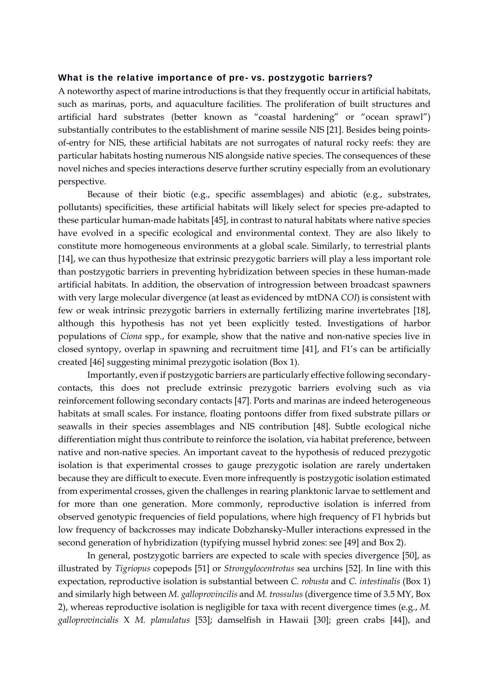#### What is the relative importance of pre- vs. postzygotic barriers?

A noteworthy aspect of marine introductions is that they frequently occur in artificial habitats, such as marinas, ports, and aquaculture facilities. The proliferation of built structures and artificial hard substrates (better known as "coastal hardening" or "ocean sprawl") substantially contributes to the establishment of marine sessile NIS [21]. Besides being pointsof-entry for NIS, these artificial habitats are not surrogates of natural rocky reefs: they are particular habitats hosting numerous NIS alongside native species. The consequences of these novel niches and species interactions deserve further scrutiny especially from an evolutionary perspective.

Because of their biotic (e.g., specific assemblages) and abiotic (e.g., substrates, pollutants) specificities, these artificial habitats will likely select for species pre-adapted to these particular human-made habitats [45], in contrast to natural habitats where native species have evolved in a specific ecological and environmental context. They are also likely to constitute more homogeneous environments at a global scale. Similarly, to terrestrial plants [14], we can thus hypothesize that extrinsic prezygotic barriers will play a less important role than postzygotic barriers in preventing hybridization between species in these human-made artificial habitats. In addition, the observation of introgression between broadcast spawners with very large molecular divergence (at least as evidenced by mtDNA *COI*) is consistent with few or weak intrinsic prezygotic barriers in externally fertilizing marine invertebrates [18], although this hypothesis has not yet been explicitly tested. Investigations of harbor populations of *Ciona* spp., for example, show that the native and non-native species live in closed syntopy, overlap in spawning and recruitment time [41], and F1's can be artificially created [46] suggesting minimal prezygotic isolation (Box 1).

Importantly, even if postzygotic barriers are particularly effective following secondarycontacts, this does not preclude extrinsic prezygotic barriers evolving such as via reinforcement following secondary contacts [47]. Ports and marinas are indeed heterogeneous habitats at small scales. For instance, floating pontoons differ from fixed substrate pillars or seawalls in their species assemblages and NIS contribution [48]. Subtle ecological niche differentiation might thus contribute to reinforce the isolation, via habitat preference, between native and non-native species. An important caveat to the hypothesis of reduced prezygotic isolation is that experimental crosses to gauge prezygotic isolation are rarely undertaken because they are difficult to execute. Even more infrequently is postzygotic isolation estimated from experimental crosses, given the challenges in rearing planktonic larvae to settlement and for more than one generation. More commonly, reproductive isolation is inferred from observed genotypic frequencies of field populations, where high frequency of F1 hybrids but low frequency of backcrosses may indicate Dobzhansky-Muller interactions expressed in the second generation of hybridization (typifying mussel hybrid zones: see [49] and Box 2).

In general, postzygotic barriers are expected to scale with species divergence [50], as illustrated by *Tigriopus* copepods [51] or *Strongylocentrotus* sea urchins [52]. In line with this expectation, reproductive isolation is substantial between *C. robusta* and *C. intestinalis* (Box 1) and similarly high between *M. galloprovincilis* and *M. trossulus* (divergence time of 3.5 MY, Box 2), whereas reproductive isolation is negligible for taxa with recent divergence times (e.g., *M. galloprovincialis* X *M. planulatus* [53]; damselfish in Hawaii [30]; green crabs [44]), and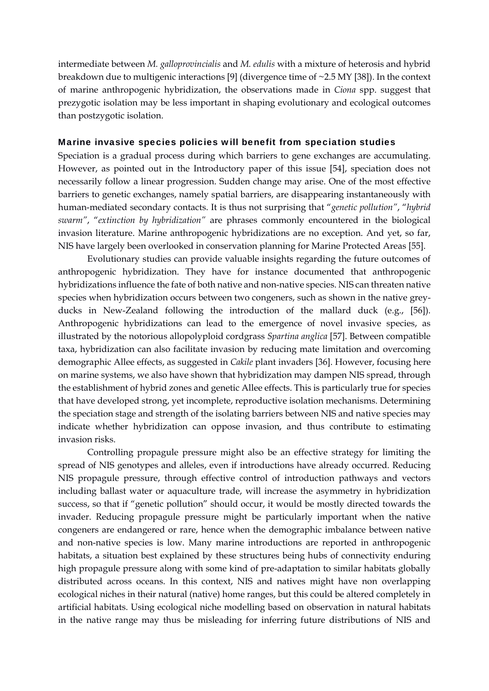intermediate between *M. galloprovincialis* and *M. edulis* with a mixture of heterosis and hybrid breakdown due to multigenic interactions [9] (divergence time of ~2.5 MY [38]). In the context of marine anthropogenic hybridization, the observations made in *Ciona* spp. suggest that prezygotic isolation may be less important in shaping evolutionary and ecological outcomes than postzygotic isolation.

#### Marine invasive species policies will benefit from speciation studies

Speciation is a gradual process during which barriers to gene exchanges are accumulating. However, as pointed out in the Introductory paper of this issue [54], speciation does not necessarily follow a linear progression. Sudden change may arise. One of the most effective barriers to genetic exchanges, namely spatial barriers, are disappearing instantaneously with human-mediated secondary contacts. It is thus not surprising that "*genetic pollution"*, "*hybrid swarm"*, "*extinction by hybridization"* are phrases commonly encountered in the biological invasion literature. Marine anthropogenic hybridizations are no exception. And yet, so far, NIS have largely been overlooked in conservation planning for Marine Protected Areas [55].

Evolutionary studies can provide valuable insights regarding the future outcomes of anthropogenic hybridization. They have for instance documented that anthropogenic hybridizations influence the fate of both native and non-native species. NIS can threaten native species when hybridization occurs between two congeners, such as shown in the native greyducks in New-Zealand following the introduction of the mallard duck (e.g., [56]). Anthropogenic hybridizations can lead to the emergence of novel invasive species, as illustrated by the notorious allopolyploid cordgrass *Spartina anglica* [57]. Between compatible taxa, hybridization can also facilitate invasion by reducing mate limitation and overcoming demographic Allee effects, as suggested in *Cakile* plant invaders [36]. However, focusing here on marine systems, we also have shown that hybridization may dampen NIS spread, through the establishment of hybrid zones and genetic Allee effects. This is particularly true for species that have developed strong, yet incomplete, reproductive isolation mechanisms. Determining the speciation stage and strength of the isolating barriers between NIS and native species may indicate whether hybridization can oppose invasion, and thus contribute to estimating invasion risks.

Controlling propagule pressure might also be an effective strategy for limiting the spread of NIS genotypes and alleles, even if introductions have already occurred. Reducing NIS propagule pressure, through effective control of introduction pathways and vectors including ballast water or aquaculture trade, will increase the asymmetry in hybridization success, so that if "genetic pollution" should occur, it would be mostly directed towards the invader. Reducing propagule pressure might be particularly important when the native congeners are endangered or rare, hence when the demographic imbalance between native and non-native species is low. Many marine introductions are reported in anthropogenic habitats, a situation best explained by these structures being hubs of connectivity enduring high propagule pressure along with some kind of pre-adaptation to similar habitats globally distributed across oceans. In this context, NIS and natives might have non overlapping ecological niches in their natural (native) home ranges, but this could be altered completely in artificial habitats. Using ecological niche modelling based on observation in natural habitats in the native range may thus be misleading for inferring future distributions of NIS and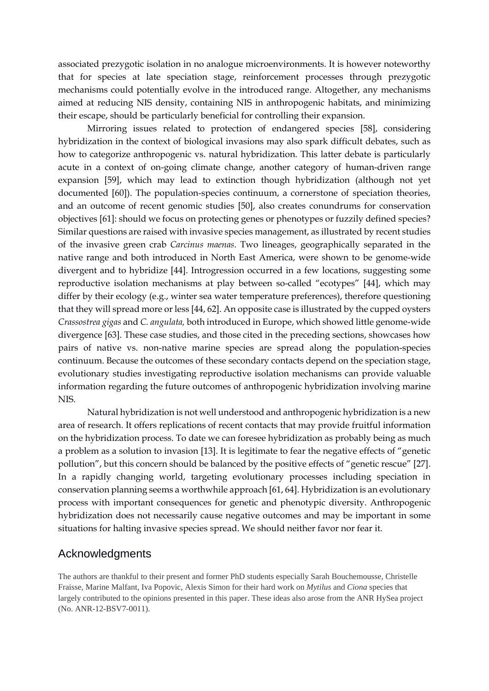associated prezygotic isolation in no analogue microenvironments. It is however noteworthy that for species at late speciation stage, reinforcement processes through prezygotic mechanisms could potentially evolve in the introduced range. Altogether, any mechanisms aimed at reducing NIS density, containing NIS in anthropogenic habitats, and minimizing their escape, should be particularly beneficial for controlling their expansion.

Mirroring issues related to protection of endangered species [58], considering hybridization in the context of biological invasions may also spark difficult debates, such as how to categorize anthropogenic vs. natural hybridization. This latter debate is particularly acute in a context of on-going climate change, another category of human-driven range expansion [59], which may lead to extinction though hybridization (although not yet documented [60]). The population-species continuum, a cornerstone of speciation theories, and an outcome of recent genomic studies [50], also creates conundrums for conservation objectives [61]: should we focus on protecting genes or phenotypes or fuzzily defined species? Similar questions are raised with invasive species management, as illustrated by recent studies of the invasive green crab *Carcinus maenas*. Two lineages, geographically separated in the native range and both introduced in North East America, were shown to be genome-wide divergent and to hybridize [44]. Introgression occurred in a few locations, suggesting some reproductive isolation mechanisms at play between so-called "ecotypes" [44], which may differ by their ecology (e.g., winter sea water temperature preferences), therefore questioning that they will spread more or less [44, 62]. An opposite case is illustrated by the cupped oysters *Crassostrea gigas* and *C. angulata,* both introduced in Europe, which showed little genome-wide divergence [63]. These case studies, and those cited in the preceding sections, showcases how pairs of native vs. non-native marine species are spread along the population-species continuum. Because the outcomes of these secondary contacts depend on the speciation stage, evolutionary studies investigating reproductive isolation mechanisms can provide valuable information regarding the future outcomes of anthropogenic hybridization involving marine NIS.

Natural hybridization is not well understood and anthropogenic hybridization is a new area of research. It offers replications of recent contacts that may provide fruitful information on the hybridization process. To date we can foresee hybridization as probably being as much a problem as a solution to invasion [13]. It is legitimate to fear the negative effects of "genetic pollution", but this concern should be balanced by the positive effects of "genetic rescue" [27]. In a rapidly changing world, targeting evolutionary processes including speciation in conservation planning seems a worthwhile approach [61, 64]. Hybridization is an evolutionary process with important consequences for genetic and phenotypic diversity. Anthropogenic hybridization does not necessarily cause negative outcomes and may be important in some situations for halting invasive species spread. We should neither favor nor fear it.

### Acknowledgments

The authors are thankful to their present and former PhD students especially Sarah Bouchemousse, Christelle Fraisse, Marine Malfant, Iva Popovic, Alexis Simon for their hard work on *Mytilus* and *Ciona* species that largely contributed to the opinions presented in this paper. These ideas also arose from the ANR HySea project (No. ANR-12-BSV7-0011).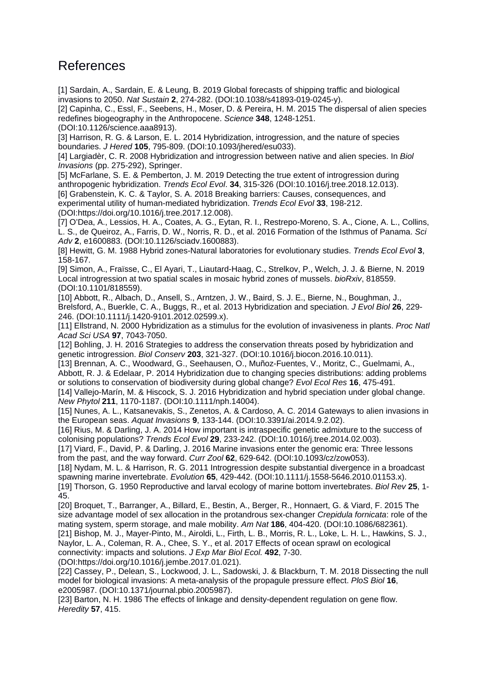# References

[1] Sardain, A., Sardain, E. & Leung, B. 2019 Global forecasts of shipping traffic and biological invasions to 2050. *Nat Sustain* **2**, 274-282. (DOI:10.1038/s41893-019-0245-y).

[2] Capinha, C., Essl, F., Seebens, H., Moser, D. & Pereira, H. M. 2015 The dispersal of alien species redefines biogeography in the Anthropocene. *Science* **348**, 1248-1251. (DOI:10.1126/science.aaa8913).

[3] Harrison, R. G. & Larson, E. L. 2014 Hybridization, introgression, and the nature of species boundaries. *J Hered* **105**, 795-809. (DOI:10.1093/jhered/esu033).

[4] Largiadèr, C. R. 2008 Hybridization and introgression between native and alien species. In *Biol Invasions* (pp. 275-292), Springer.

[5] McFarlane, S. E. & Pemberton, J. M. 2019 Detecting the true extent of introgression during anthropogenic hybridization. *Trends Ecol Evol*. **34**, 315-326 (DOI:10.1016/j.tree.2018.12.013). [6] Grabenstein, K. C. & Taylor, S. A. 2018 Breaking barriers: Causes, consequences, and

experimental utility of human-mediated hybridization. *Trends Ecol Evol* **33**, 198-212. (DOI:https://doi.org/10.1016/j.tree.2017.12.008).

[7] O'Dea, A., Lessios, H. A., Coates, A. G., Eytan, R. I., Restrepo-Moreno, S. A., Cione, A. L., Collins, L. S., de Queiroz, A., Farris, D. W., Norris, R. D., et al. 2016 Formation of the Isthmus of Panama. *Sci Adv* **2**, e1600883. (DOI:10.1126/sciadv.1600883).

[8] Hewitt, G. M. 1988 Hybrid zones-Natural laboratories for evolutionary studies. *Trends Ecol Evol* **3**, 158-167.

[9] Simon, A., Fraïsse, C., El Ayari, T., Liautard-Haag, C., Strelkov, P., Welch, J. J. & Bierne, N. 2019 Local introgression at two spatial scales in mosaic hybrid zones of mussels. *bioRxiv*, 818559. (DOI:10.1101/818559).

[10] Abbott, R., Albach, D., Ansell, S., Arntzen, J. W., Baird, S. J. E., Bierne, N., Boughman, J., Brelsford, A., Buerkle, C. A., Buggs, R., et al. 2013 Hybridization and speciation. *J Evol Biol* **26**, 229- 246. (DOI:10.1111/j.1420-9101.2012.02599.x).

[11] Ellstrand, N. 2000 Hybridization as a stimulus for the evolution of invasiveness in plants. *Proc Natl Acad Sci USA* **97**, 7043-7050.

[12] Bohling, J. H. 2016 Strategies to address the conservation threats posed by hybridization and genetic introgression. *Biol Conserv* **203**, 321-327. (DOI:10.1016/j.biocon.2016.10.011).

[13] Brennan, A. C., Woodward, G., Seehausen, O., Muñoz-Fuentes, V., Moritz, C., Guelmami, A., Abbott, R. J. & Edelaar, P. 2014 Hybridization due to changing species distributions: adding problems or solutions to conservation of biodiversity during global change? *Evol Ecol Res* **16**, 475-491.

[14] Vallejo-Marín, M. & Hiscock, S. J. 2016 Hybridization and hybrid speciation under global change. *New Phytol* **211**, 1170-1187. (DOI:10.1111/nph.14004).

[15] Nunes, A. L., Katsanevakis, S., Zenetos, A. & Cardoso, A. C. 2014 Gateways to alien invasions in the European seas. *Aquat Invasions* **9**, 133-144. (DOI:10.3391/ai.2014.9.2.02).

[16] Rius, M. & Darling, J. A. 2014 How important is intraspecific genetic admixture to the success of colonising populations? *Trends Ecol Evol* **29**, 233-242. (DOI:10.1016/j.tree.2014.02.003).

[17] Viard, F., David, P. & Darling, J. 2016 Marine invasions enter the genomic era: Three lessons from the past, and the way forward. *Curr Zool* **62**, 629-642. (DOI:10.1093/cz/zow053).

[18] Nydam, M. L. & Harrison, R. G. 2011 Introgression despite substantial divergence in a broadcast spawning marine invertebrate. *Evolution* **65**, 429-442. (DOI:10.1111/j.1558-5646.2010.01153.x). [19] Thorson, G. 1950 Reproductive and larval ecology of marine bottom invertebrates. *Biol Rev* **25**, 1- 45.

[20] Broquet, T., Barranger, A., Billard, E., Bestin, A., Berger, R., Honnaert, G. & Viard, F. 2015 The size advantage model of sex allocation in the protandrous sex-changer *Crepidula fornicata*: role of the mating system, sperm storage, and male mobility. *Am Nat* **186**, 404-420. (DOI:10.1086/682361).

[21] Bishop, M. J., Mayer-Pinto, M., Airoldi, L., Firth, L. B., Morris, R. L., Loke, L. H. L., Hawkins, S. J., Naylor, L. A., Coleman, R. A., Chee, S. Y., et al. 2017 Effects of ocean sprawl on ecological connectivity: impacts and solutions. *J Exp Mar Biol Ecol.* **492**, 7-30.

(DOI:https://doi.org/10.1016/j.jembe.2017.01.021).

[22] Cassey, P., Delean, S., Lockwood, J. L., Sadowski, J. & Blackburn, T. M. 2018 Dissecting the null model for biological invasions: A meta-analysis of the propagule pressure effect. *PloS Biol* **16**, e2005987. (DOI:10.1371/journal.pbio.2005987).

[23] Barton, N. H. 1986 The effects of linkage and density-dependent regulation on gene flow. *Heredity* **57**, 415.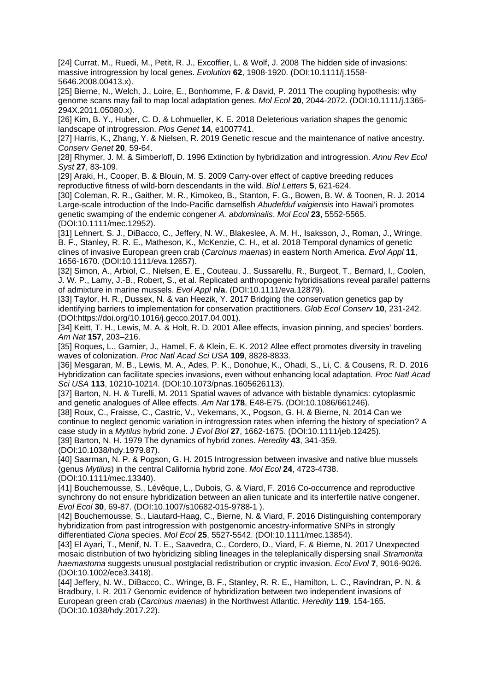[24] Currat, M., Ruedi, M., Petit, R. J., Excoffier, L. & Wolf, J. 2008 The hidden side of invasions: massive introgression by local genes. *Evolution* **62**, 1908-1920. (DOI:10.1111/j.1558- 5646.2008.00413.x).

[25] Bierne, N., Welch, J., Loire, E., Bonhomme, F. & David, P. 2011 The coupling hypothesis: why genome scans may fail to map local adaptation genes. *Mol Ecol* **20**, 2044-2072. (DOI:10.1111/j.1365- 294X.2011.05080.x).

[26] Kim, B. Y., Huber, C. D. & Lohmueller, K. E. 2018 Deleterious variation shapes the genomic landscape of introgression. *Plos Genet* **14**, e1007741.

[27] Harris, K., Zhang, Y. & Nielsen, R. 2019 Genetic rescue and the maintenance of native ancestry. *Conserv Genet* **20**, 59-64.

[28] Rhymer, J. M. & Simberloff, D. 1996 Extinction by hybridization and introgression. *Annu Rev Ecol Syst* **27**, 83-109.

[29] Araki, H., Cooper, B. & Blouin, M. S. 2009 Carry-over effect of captive breeding reduces reproductive fitness of wild-born descendants in the wild. *Biol Letters* **5**, 621-624.

[30] Coleman, R. R., Gaither, M. R., Kimokeo, B., Stanton, F. G., Bowen, B. W. & Toonen, R. J. 2014 Large-scale introduction of the Indo-Pacific damselfish *Abudefduf vaigiensis* into Hawai'i promotes genetic swamping of the endemic congener *A. abdominalis*. *Mol Ecol* **23**, 5552-5565. (DOI:10.1111/mec.12952).

[31] Lehnert, S. J., DiBacco, C., Jeffery, N. W., Blakeslee, A. M. H., Isaksson, J., Roman, J., Wringe, B. F., Stanley, R. R. E., Matheson, K., McKenzie, C. H., et al. 2018 Temporal dynamics of genetic clines of invasive European green crab (*Carcinus maenas*) in eastern North America. *Evol Appl* **11**, 1656-1670. (DOI:10.1111/eva.12657).

[32] Simon, A., Arbiol, C., Nielsen, E. E., Couteau, J., Sussarellu, R., Burgeot, T., Bernard, I., Coolen, J. W. P., Lamy, J.-B., Robert, S., et al. Replicated anthropogenic hybridisations reveal parallel patterns of admixture in marine mussels. *Evol Appl* **n/a**. (DOI:10.1111/eva.12879).

[33] Taylor, H. R., Dussex, N. & van Heezik, Y. 2017 Bridging the conservation genetics gap by identifying barriers to implementation for conservation practitioners. *Glob Ecol Conserv* **10**, 231-242. (DOI:https://doi.org/10.1016/j.gecco.2017.04.001).

[34] Keitt, T. H., Lewis, M. A. & Holt, R. D. 2001 Allee effects, invasion pinning, and species' borders. *Am Nat* **157**, 203–216.

[35] Roques, L., Garnier, J., Hamel, F. & Klein, E. K. 2012 Allee effect promotes diversity in traveling waves of colonization. *Proc Natl Acad Sci USA* **109**, 8828-8833.

[36] Mesgaran, M. B., Lewis, M. A., Ades, P. K., Donohue, K., Ohadi, S., Li, C. & Cousens, R. D. 2016 Hybridization can facilitate species invasions, even without enhancing local adaptation. *Proc Natl Acad Sci USA* **113**, 10210-10214. (DOI:10.1073/pnas.1605626113).

[37] Barton, N. H. & Turelli, M. 2011 Spatial waves of advance with bistable dynamics: cytoplasmic and genetic analogues of Allee effects. *Am Nat* **178**, E48-E75. (DOI:10.1086/661246).

[38] Roux, C., Fraisse, C., Castric, V., Vekemans, X., Pogson, G. H. & Bierne, N. 2014 Can we continue to neglect genomic variation in introgression rates when inferring the history of speciation? A case study in a *Mytilus* hybrid zone. *J Evol Biol* **27**, 1662-1675. (DOI:10.1111/jeb.12425).

[39] Barton, N. H. 1979 The dynamics of hybrid zones. *Heredity* **43**, 341-359.

(DOI:10.1038/hdy.1979.87).

[40] Saarman, N. P. & Pogson, G. H. 2015 Introgression between invasive and native blue mussels (genus *Mytilus*) in the central California hybrid zone. *Mol Ecol* **24**, 4723-4738. (DOI:10.1111/mec.13340).

[41] Bouchemousse, S., Lévêque, L., Dubois, G. & Viard, F. 2016 Co-occurrence and reproductive synchrony do not ensure hybridization between an alien tunicate and its interfertile native congener. *Evol Ecol* **30**, 69-87. (DOI:10.1007/s10682-015-9788-1 ).

[42] Bouchemousse, S., Liautard-Haag, C., Bierne, N. & Viard, F. 2016 Distinguishing contemporary hybridization from past introgression with postgenomic ancestry-informative SNPs in strongly differentiated *Ciona* species. *Mol Ecol* **25**, 5527-5542. (DOI:10.1111/mec.13854).

[43] El Ayari, T., Menif, N. T. E., Saavedra, C., Cordero, D., Viard, F. & Bierne, N. 2017 Unexpected mosaic distribution of two hybridizing sibling lineages in the teleplanically dispersing snail *Stramonita haemastoma* suggests unusual postglacial redistribution or cryptic invasion. *Ecol Evol* **7**, 9016-9026. (DOI:10.1002/ece3.3418).

[44] Jeffery, N. W., DiBacco, C., Wringe, B. F., Stanley, R. R. E., Hamilton, L. C., Ravindran, P. N. & Bradbury, I. R. 2017 Genomic evidence of hybridization between two independent invasions of European green crab (*Carcinus maenas*) in the Northwest Atlantic. *Heredity* **119**, 154-165. (DOI:10.1038/hdy.2017.22).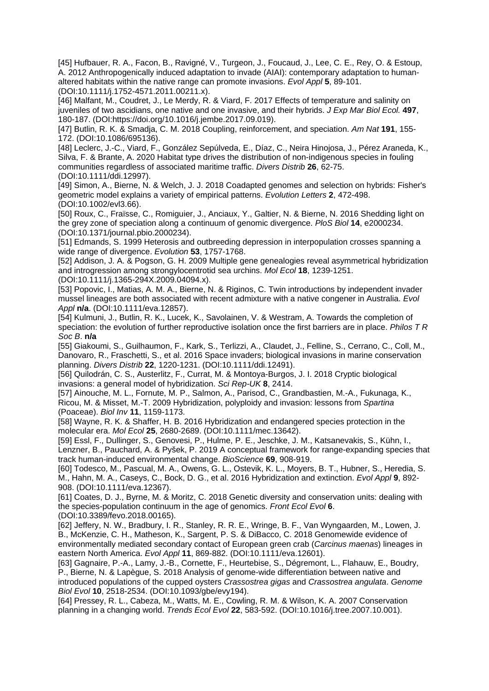[45] Hufbauer, R. A., Facon, B., Ravigné, V., Turgeon, J., Foucaud, J., Lee, C. E., Rey, O. & Estoup, A. 2012 Anthropogenically induced adaptation to invade (AIAI): contemporary adaptation to humanaltered habitats within the native range can promote invasions. *Evol Appl* **5**, 89-101. (DOI:10.1111/j.1752-4571.2011.00211.x).

[46] Malfant, M., Coudret, J., Le Merdy, R. & Viard, F. 2017 Effects of temperature and salinity on juveniles of two ascidians, one native and one invasive, and their hybrids. *J Exp Mar Biol Ecol.* **497**, 180-187. (DOI:https://doi.org/10.1016/j.jembe.2017.09.019).

[47] Butlin, R. K. & Smadja, C. M. 2018 Coupling, reinforcement, and speciation. *Am Nat* **191**, 155- 172. (DOI:10.1086/695136).

[48] Leclerc, J.-C., Viard, F., González Sepúlveda, E., Díaz, C., Neira Hinojosa, J., Pérez Araneda, K., Silva, F. & Brante, A. 2020 Habitat type drives the distribution of non-indigenous species in fouling communities regardless of associated maritime traffic. *Divers Distrib* **26**, 62-75. (DOI:10.1111/ddi.12997).

[49] Simon, A., Bierne, N. & Welch, J. J. 2018 Coadapted genomes and selection on hybrids: Fisher's geometric model explains a variety of empirical patterns. *Evolution Letters* **2**, 472-498. (DOI:10.1002/evl3.66).

[50] Roux, C., Fraïsse, C., Romiguier, J., Anciaux, Y., Galtier, N. & Bierne, N. 2016 Shedding light on the grey zone of speciation along a continuum of genomic divergence. *PloS Biol* **14**, e2000234. (DOI:10.1371/journal.pbio.2000234).

[51] Edmands, S. 1999 Heterosis and outbreeding depression in interpopulation crosses spanning a wide range of divergence. *Evolution* **53**, 1757-1768.

[52] Addison, J. A. & Pogson, G. H. 2009 Multiple gene genealogies reveal asymmetrical hybridization and introgression among strongylocentrotid sea urchins. *Mol Ecol* **18**, 1239-1251. (DOI:10.1111/j.1365-294X.2009.04094.x).

[53] Popovic, I., Matias, A. M. A., Bierne, N. & Riginos, C. Twin introductions by independent invader mussel lineages are both associated with recent admixture with a native congener in Australia. *Evol Appl* **n/a**. (DOI:10.1111/eva.12857).

[54] Kulmuni, J., Butlin, R. K., Lucek, K., Savolainen, V. & Westram, A. Towards the completion of speciation: the evolution of further reproductive isolation once the first barriers are in place. *Philos T R Soc B*. **n/a**

[55] Giakoumi, S., Guilhaumon, F., Kark, S., Terlizzi, A., Claudet, J., Felline, S., Cerrano, C., Coll, M., Danovaro, R., Fraschetti, S., et al. 2016 Space invaders; biological invasions in marine conservation planning. *Divers Distrib* **22**, 1220-1231. (DOI:10.1111/ddi.12491).

[56] Quilodrán, C. S., Austerlitz, F., Currat, M. & Montoya-Burgos, J. I. 2018 Cryptic biological invasions: a general model of hybridization. *Sci Rep-UK* **8**, 2414.

[57] Ainouche, M. L., Fornute, M. P., Salmon, A., Parisod, C., Grandbastien, M.-A., Fukunaga, K., Ricou, M. & Misset, M.-T. 2009 Hybridization, polyploidy and invasion: lessons from *Spartina* (Poaceae). *Biol Inv* **11**, 1159-1173.

[58] Wayne, R. K. & Shaffer, H. B. 2016 Hybridization and endangered species protection in the molecular era. *Mol Ecol* **25**, 2680-2689. (DOI:10.1111/mec.13642).

[59] Essl, F., Dullinger, S., Genovesi, P., Hulme, P. E., Jeschke, J. M., Katsanevakis, S., Kühn, I., Lenzner, B., Pauchard, A. & Pyšek, P. 2019 A conceptual framework for range-expanding species that track human-induced environmental change. *BioScience* **69**, 908-919.

[60] Todesco, M., Pascual, M. A., Owens, G. L., Ostevik, K. L., Moyers, B. T., Hubner, S., Heredia, S. M., Hahn, M. A., Caseys, C., Bock, D. G., et al. 2016 Hybridization and extinction. *Evol Appl* **9**, 892- 908. (DOI:10.1111/eva.12367).

[61] Coates, D. J., Byrne, M. & Moritz, C. 2018 Genetic diversity and conservation units: dealing with the species-population continuum in the age of genomics. *Front Ecol Evol* **6**. (DOI:10.3389/fevo.2018.00165).

[62] Jeffery, N. W., Bradbury, I. R., Stanley, R. R. E., Wringe, B. F., Van Wyngaarden, M., Lowen, J. B., McKenzie, C. H., Matheson, K., Sargent, P. S. & DiBacco, C. 2018 Genomewide evidence of environmentally mediated secondary contact of European green crab (*Carcinus maenas*) lineages in eastern North America. *Evol Appl* **11**, 869-882. (DOI:10.1111/eva.12601).

[63] Gagnaire, P.-A., Lamy, J.-B., Cornette, F., Heurtebise, S., Dégremont, L., Flahauw, E., Boudry, P., Bierne, N. & Lapègue, S. 2018 Analysis of genome-wide differentiation between native and introduced populations of the cupped oysters *Crassostrea gigas* and *Crassostrea angulata*. *Genome Biol Evol* **10**, 2518-2534. (DOI:10.1093/gbe/evy194).

[64] Pressey, R. L., Cabeza, M., Watts, M. E., Cowling, R. M. & Wilson, K. A. 2007 Conservation planning in a changing world. *Trends Ecol Evol* **22**, 583-592. (DOI:10.1016/j.tree.2007.10.001).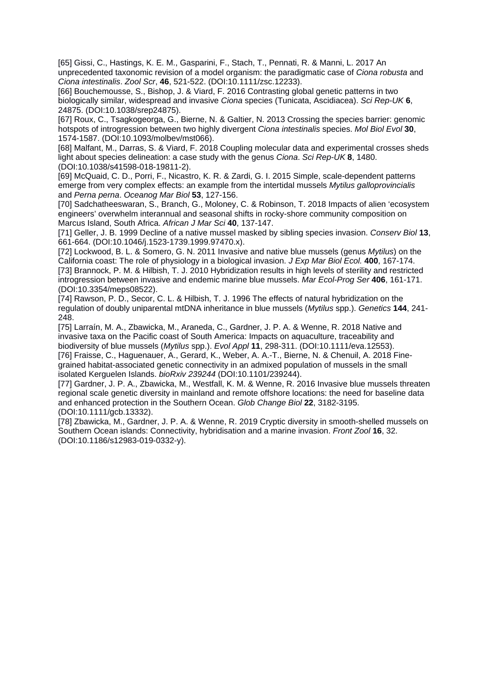[65] Gissi, C., Hastings, K. E. M., Gasparini, F., Stach, T., Pennati, R. & Manni, L. 2017 An unprecedented taxonomic revision of a model organism: the paradigmatic case of *Ciona robusta* and *Ciona intestinalis*. *Zool Scr*, **46**, 521-522. (DOI:10.1111/zsc.12233).

[66] Bouchemousse, S., Bishop, J. & Viard, F. 2016 Contrasting global genetic patterns in two biologically similar, widespread and invasive *Ciona* species (Tunicata, Ascidiacea). *Sci Rep-UK* **6**, 24875. (DOI:10.1038/srep24875).

[67] Roux, C., Tsagkogeorga, G., Bierne, N. & Galtier, N. 2013 Crossing the species barrier: genomic hotspots of introgression between two highly divergent *Ciona intestinalis* species. *Mol Biol Evol* **30**, 1574-1587. (DOI:10.1093/molbev/mst066).

[68] Malfant, M., Darras, S. & Viard, F. 2018 Coupling molecular data and experimental crosses sheds light about species delineation: a case study with the genus *Ciona*. *Sci Rep-UK* **8**, 1480. (DOI:10.1038/s41598-018-19811-2).

[69] McQuaid, C. D., Porri, F., Nicastro, K. R. & Zardi, G. I. 2015 Simple, scale-dependent patterns emerge from very complex effects: an example from the intertidal mussels *Mytilus galloprovincialis* and *Perna perna*. *Oceanog Mar Biol* **53**, 127-156.

[70] Sadchatheeswaran, S., Branch, G., Moloney, C. & Robinson, T. 2018 Impacts of alien 'ecosystem engineers' overwhelm interannual and seasonal shifts in rocky-shore community composition on Marcus Island, South Africa. *African J Mar Sci* **40**, 137-147.

[71] Geller, J. B. 1999 Decline of a native mussel masked by sibling species invasion. *Conserv Biol* **13**, 661-664. (DOI:10.1046/j.1523-1739.1999.97470.x).

[72] Lockwood, B. L. & Somero, G. N. 2011 Invasive and native blue mussels (genus *Mytilus*) on the California coast: The role of physiology in a biological invasion. *J Exp Mar Biol Ecol.* **400**, 167-174. [73] Brannock, P. M. & Hilbish, T. J. 2010 Hybridization results in high levels of sterility and restricted introgression between invasive and endemic marine blue mussels. *Mar Ecol-Prog Ser* **406**, 161-171. (DOI:10.3354/meps08522).

[74] Rawson, P. D., Secor, C. L. & Hilbish, T. J. 1996 The effects of natural hybridization on the regulation of doubly uniparental mtDNA inheritance in blue mussels (*Mytilus* spp.). *Genetics* **144**, 241- 248.

[75] Larraín, M. A., Zbawicka, M., Araneda, C., Gardner, J. P. A. & Wenne, R. 2018 Native and invasive taxa on the Pacific coast of South America: Impacts on aquaculture, traceability and biodiversity of blue mussels (*Mytilus* spp.). *Evol Appl* **11**, 298-311. (DOI:10.1111/eva.12553). [76] Fraisse, C., Haguenauer, A., Gerard, K., Weber, A. A.-T., Bierne, N. & Chenuil, A. 2018 Finegrained habitat-associated genetic connectivity in an admixed population of mussels in the small isolated Kerguelen Islands. *bioRxiv 239244* (DOI:10.1101/239244).

[77] Gardner, J. P. A., Zbawicka, M., Westfall, K. M. & Wenne, R. 2016 Invasive blue mussels threaten regional scale genetic diversity in mainland and remote offshore locations: the need for baseline data and enhanced protection in the Southern Ocean. *Glob Change Biol* **22**, 3182-3195. (DOI:10.1111/gcb.13332).

[78] Zbawicka, M., Gardner, J. P. A. & Wenne, R. 2019 Cryptic diversity in smooth-shelled mussels on Southern Ocean islands: Connectivity, hybridisation and a marine invasion. *Front Zool* **16**, 32. (DOI:10.1186/s12983-019-0332-y).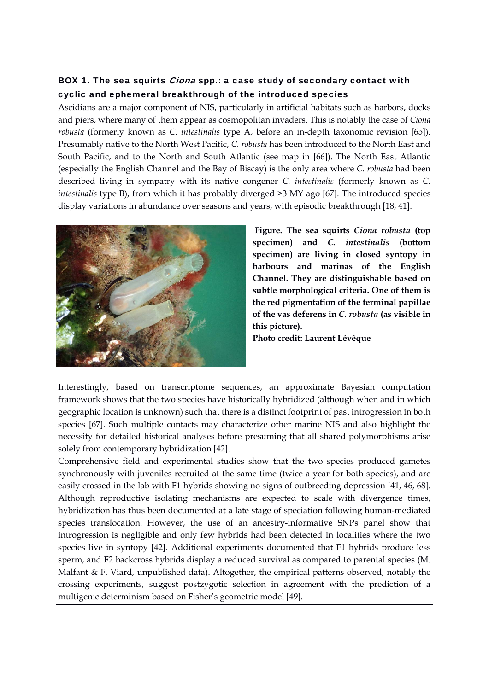# BOX 1. The sea squirts *Ciona* spp.: a case study of secondary contact with cyclic and ephemeral breakthrough of the introduced species

Ascidians are a major component of NIS, particularly in artificial habitats such as harbors, docks and piers, where many of them appear as cosmopolitan invaders. This is notably the case of *Ciona robusta* (formerly known as *C. intestinalis* type A, before an in-depth taxonomic revision [65]). Presumably native to the North West Pacific, *C. robusta* has been introduced to the North East and South Pacific, and to the North and South Atlantic (see map in [66]). The North East Atlantic (especially the English Channel and the Bay of Biscay) is the only area where *C. robusta* had been described living in sympatry with its native congener *C. intestinalis* (formerly known as *C. intestinalis* type B), from which it has probably diverged >3 MY ago [67]. The introduced species display variations in abundance over seasons and years, with episodic breakthrough [18, 41].



**Figure. The sea squirts** *Ciona robusta* **(top specimen) and** *C. intestinalis* **(bottom specimen) are living in closed syntopy in harbours and marinas of the English Channel. They are distinguishable based on subtle morphological criteria. One of them is the red pigmentation of the terminal papillae of the vas deferens in** *C. robusta* **(as visible in this picture).** 

**Photo credit: Laurent Lévêque** 

Interestingly, based on transcriptome sequences, an approximate Bayesian computation framework shows that the two species have historically hybridized (although when and in which geographic location is unknown) such that there is a distinct footprint of past introgression in both species [67]. Such multiple contacts may characterize other marine NIS and also highlight the necessity for detailed historical analyses before presuming that all shared polymorphisms arise solely from contemporary hybridization [42].

Comprehensive field and experimental studies show that the two species produced gametes synchronously with juveniles recruited at the same time (twice a year for both species), and are easily crossed in the lab with F1 hybrids showing no signs of outbreeding depression [41, 46, 68]. Although reproductive isolating mechanisms are expected to scale with divergence times, hybridization has thus been documented at a late stage of speciation following human-mediated species translocation. However, the use of an ancestry-informative SNPs panel show that introgression is negligible and only few hybrids had been detected in localities where the two species live in syntopy [42]. Additional experiments documented that F1 hybrids produce less sperm, and F2 backcross hybrids display a reduced survival as compared to parental species (M. Malfant & F. Viard, unpublished data). Altogether, the empirical patterns observed, notably the crossing experiments, suggest postzygotic selection in agreement with the prediction of a multigenic determinism based on Fisher's geometric model [49].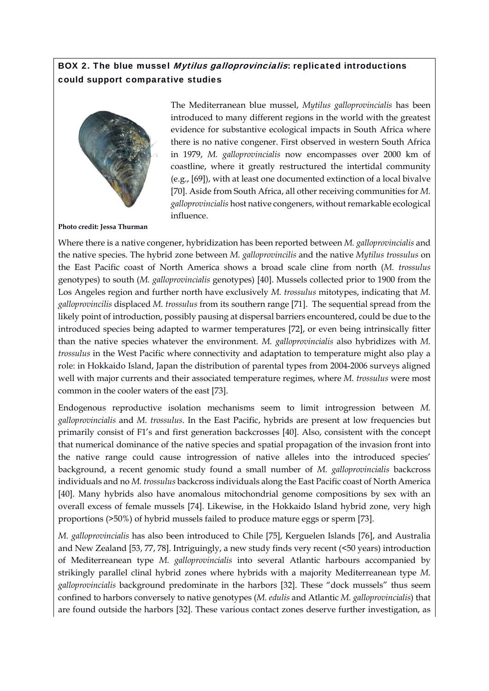# BOX 2. The blue mussel *Mytilus galloprovincialis*: replicated introductions could support comparative studies



The Mediterranean blue mussel, *Mytilus galloprovincialis* has been introduced to many different regions in the world with the greatest evidence for substantive ecological impacts in South Africa where there is no native congener. First observed in western South Africa in 1979, *M. galloprovincialis* now encompasses over 2000 km of coastline, where it greatly restructured the intertidal community (e.g., [69]), with at least one documented extinction of a local bivalve [70]. Aside from South Africa, all other receiving communities for *M. galloprovincialis* host native congeners, without remarkable ecological influence.

**Photo credit: Jessa Thurman** 

Where there is a native congener, hybridization has been reported between *M. galloprovincialis* and the native species. The hybrid zone between *M. galloprovincilis* and the native *Mytilus trossulus* on the East Pacific coast of North America shows a broad scale cline from north (*M. trossulus*  genotypes) to south (*M. galloprovincialis* genotypes) [40]. Mussels collected prior to 1900 from the Los Angeles region and further north have exclusively *M. trossulus* mitotypes, indicating that *M. galloprovincilis* displaced *M. trossulus* from its southern range [71]. The sequential spread from the likely point of introduction, possibly pausing at dispersal barriers encountered, could be due to the introduced species being adapted to warmer temperatures [72], or even being intrinsically fitter than the native species whatever the environment. *M. galloprovincialis* also hybridizes with *M. trossulus* in the West Pacific where connectivity and adaptation to temperature might also play a role: in Hokkaido Island, Japan the distribution of parental types from 2004-2006 surveys aligned well with major currents and their associated temperature regimes, where *M. trossulus* were most common in the cooler waters of the east [73].

Endogenous reproductive isolation mechanisms seem to limit introgression between *M. galloprovincialis* and *M. trossulus*. In the East Pacific, hybrids are present at low frequencies but primarily consist of F1's and first generation backcrosses [40]. Also, consistent with the concept that numerical dominance of the native species and spatial propagation of the invasion front into the native range could cause introgression of native alleles into the introduced species' background, a recent genomic study found a small number of *M. galloprovincialis* backcross individuals and no *M. trossulus* backcross individuals along the East Pacific coast of North America [40]. Many hybrids also have anomalous mitochondrial genome compositions by sex with an overall excess of female mussels [74]. Likewise, in the Hokkaido Island hybrid zone, very high proportions (>50%) of hybrid mussels failed to produce mature eggs or sperm [73].

*M. galloprovincialis* has also been introduced to Chile [75], Kerguelen Islands [76], and Australia and New Zealand [53, 77, 78]. Intriguingly, a new study finds very recent (<50 years) introduction of Mediterreanean type *M. galloprovincialis* into several Atlantic harbours accompanied by strikingly parallel clinal hybrid zones where hybrids with a majority Mediterreanean type *M. galloprovincialis* background predominate in the harbors [32]. These "dock mussels" thus seem confined to harbors conversely to native genotypes (*M. edulis* and Atlantic *M. galloprovincialis*) that are found outside the harbors [32]. These various contact zones deserve further investigation, as